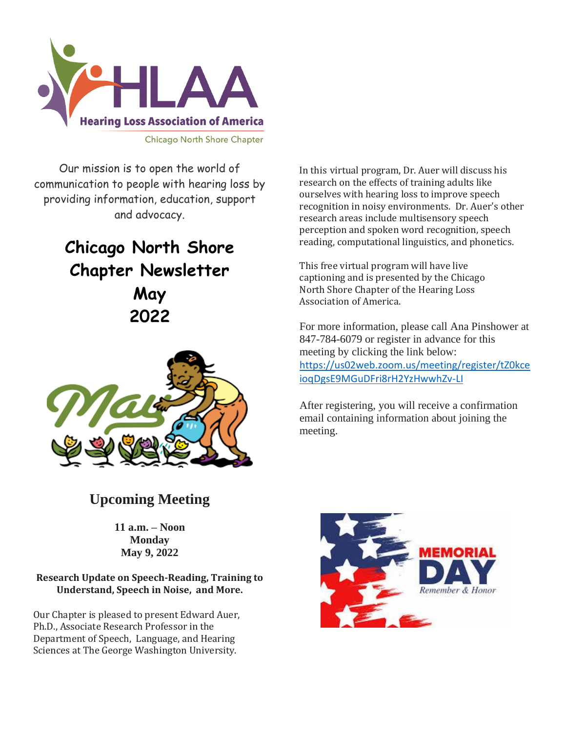

Our mission is to open the world of communication to people with hearing loss by providing information, education, support and advocacy.

# **Chicago North Shore Chapter Newsletter May 2022**



In this virtual program, Dr. Auer will discuss his research on the effects of training adults like ourselves with hearing loss to improve speech recognition in noisy environments. Dr. Auer's other research areas include multisensory speech perception and spoken word recognition, speech reading, computational linguistics, and phonetics.

This free virtual program will have live captioning and is presented by the Chicago North Shore Chapter of the Hearing Loss Association of America.

For more information, please call Ana Pinshower at 847-784-6079 or register in advance for this meeting by clicking the link below: [https://us02web.zoom.us/meeting/register/tZ0kce](https://us02web.zoom.us/meeting/register/tZ0kceioqDgsE9MGuDFri8rH2YzHwwhZv-LI) [ioqDgsE9MGuDFri8rH2YzHwwhZv-LI](https://us02web.zoom.us/meeting/register/tZ0kceioqDgsE9MGuDFri8rH2YzHwwhZv-LI)

After registering, you will receive a confirmation email containing information about joining the meeting.

# **Upcoming Meeting**

**11 a.m. – Noon Monday May 9, 2022**

**Research Update on Speech-Reading, Training to Understand, Speech in Noise, and More.**

Our Chapter is pleased to present Edward Auer, Ph.D., Associate Research Professor in the Department of Speech, Language, and Hearing Sciences at The George Washington University.

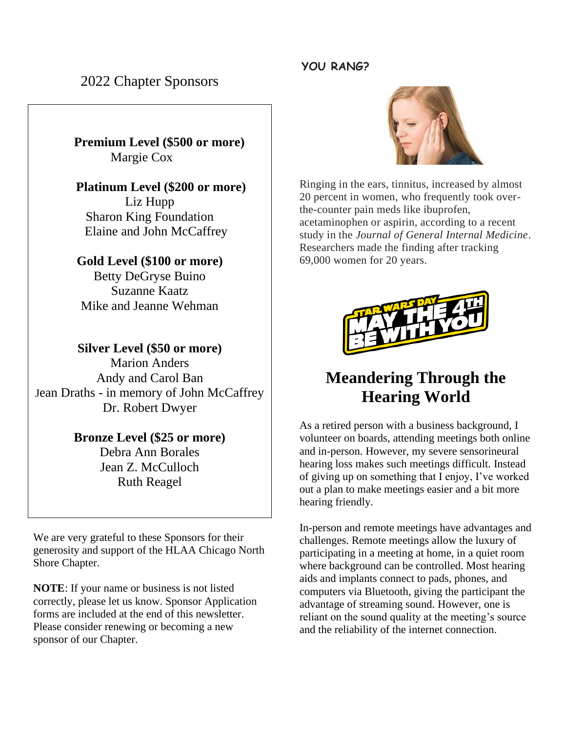#### **YOU RANG?**

2022 Chapter Sponsors

 **Premium Level (\$500 or more)** Margie Cox

 **Platinum Level (\$200 or more)** Liz Hupp Sharon King Foundation Elaine and John McCaffrey

## **Gold Level (\$100 or more)**

Betty DeGryse Buino Suzanne Kaatz Mike and Jeanne Wehman

**Silver Level (\$50 or more)** Marion Anders Andy and Carol Ban Jean Draths - in memory of John McCaffrey Dr. Robert Dwyer

### **Bronze Level (\$25 or more)**

Debra Ann Borales Jean Z. McCulloch Ruth Reagel

We are very grateful to these Sponsors for their generosity and support of the HLAA Chicago North Shore Chapter.

**NOTE**: If your name or business is not listed correctly, please let us know. Sponsor Application forms are included at the end of this newsletter. Please consider renewing or becoming a new sponsor of our Chapter.



Ringing in the ears, tinnitus, increased by almost 20 percent in women, who frequently took overthe-counter pain meds like ibuprofen, acetaminophen or aspirin, according to a recent study in the *Journal of General Internal Medicine*. Researchers made the finding after tracking 69,000 women for 20 years.



# **Meandering Through the Hearing World**

As a retired person with a business background, I volunteer on boards, attending meetings both online and in-person. However, my severe sensorineural hearing loss makes such meetings difficult. Instead of giving up on something that I enjoy, I've worked out a plan to make meetings easier and a bit more hearing friendly.

In-person and remote meetings have advantages and challenges. Remote meetings allow the luxury of participating in a meeting at home, in a quiet room where background can be controlled. Most hearing aids and implants connect to pads, phones, and computers via Bluetooth, giving the participant the advantage of streaming sound. However, one is reliant on the sound quality at the meeting's source and the reliability of the internet connection.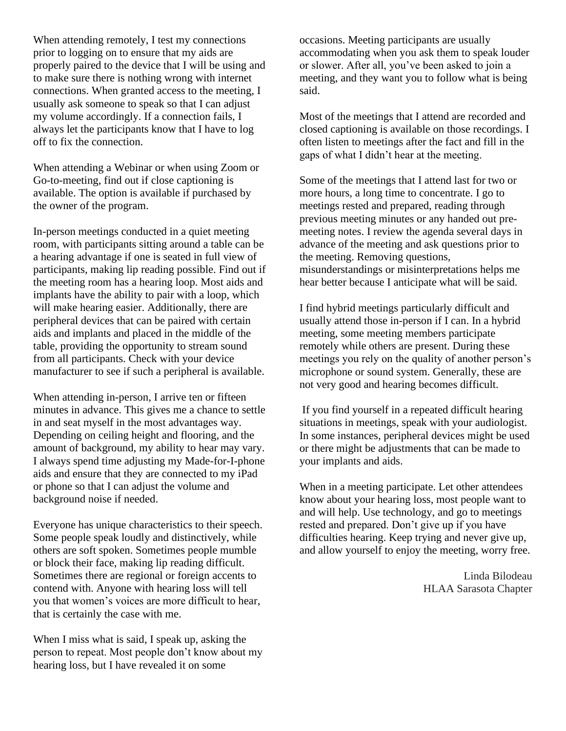When attending remotely, I test my connections prior to logging on to ensure that my aids are properly paired to the device that I will be using and to make sure there is nothing wrong with internet connections. When granted access to the meeting, I usually ask someone to speak so that I can adjust my volume accordingly. If a connection fails, I always let the participants know that I have to log off to fix the connection.

When attending a Webinar or when using Zoom or Go-to-meeting, find out if close captioning is available. The option is available if purchased by the owner of the program.

In-person meetings conducted in a quiet meeting room, with participants sitting around a table can be a hearing advantage if one is seated in full view of participants, making lip reading possible. Find out if the meeting room has a hearing loop. Most aids and implants have the ability to pair with a loop, which will make hearing easier. Additionally, there are peripheral devices that can be paired with certain aids and implants and placed in the middle of the table, providing the opportunity to stream sound from all participants. Check with your device manufacturer to see if such a peripheral is available.

When attending in-person, I arrive ten or fifteen minutes in advance. This gives me a chance to settle in and seat myself in the most advantages way. Depending on ceiling height and flooring, and the amount of background, my ability to hear may vary. I always spend time adjusting my Made-for-I-phone aids and ensure that they are connected to my iPad or phone so that I can adjust the volume and background noise if needed.

Everyone has unique characteristics to their speech. Some people speak loudly and distinctively, while others are soft spoken. Sometimes people mumble or block their face, making lip reading difficult. Sometimes there are regional or foreign accents to contend with. Anyone with hearing loss will tell you that women's voices are more difficult to hear, that is certainly the case with me.

When I miss what is said, I speak up, asking the person to repeat. Most people don't know about my hearing loss, but I have revealed it on some

occasions. Meeting participants are usually accommodating when you ask them to speak louder or slower. After all, you've been asked to join a meeting, and they want you to follow what is being said.

Most of the meetings that I attend are recorded and closed captioning is available on those recordings. I often listen to meetings after the fact and fill in the gaps of what I didn't hear at the meeting.

Some of the meetings that I attend last for two or more hours, a long time to concentrate. I go to meetings rested and prepared, reading through previous meeting minutes or any handed out premeeting notes. I review the agenda several days in advance of the meeting and ask questions prior to the meeting. Removing questions, misunderstandings or misinterpretations helps me hear better because I anticipate what will be said.

I find hybrid meetings particularly difficult and usually attend those in-person if I can. In a hybrid meeting, some meeting members participate remotely while others are present. During these meetings you rely on the quality of another person's microphone or sound system. Generally, these are not very good and hearing becomes difficult.

If you find yourself in a repeated difficult hearing situations in meetings, speak with your audiologist. In some instances, peripheral devices might be used or there might be adjustments that can be made to your implants and aids.

When in a meeting participate. Let other attendees know about your hearing loss, most people want to and will help. Use technology, and go to meetings rested and prepared. Don't give up if you have difficulties hearing. Keep trying and never give up, and allow yourself to enjoy the meeting, worry free.

> Linda Bilodeau HLAA Sarasota Chapter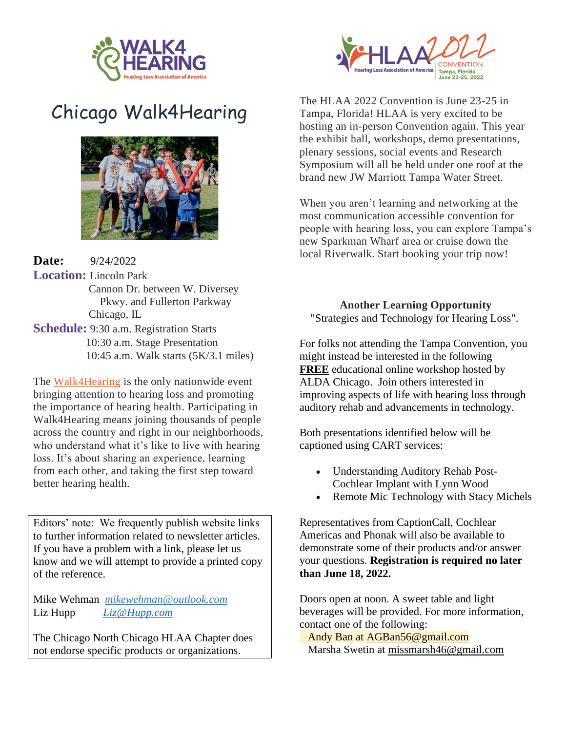

# [Chicago Walk4Hearing](javascript:void(0);)



**Date:** 9/24/2022 **Location:** Lincoln Park Cannon Dr. between W. Diversey Pkwy. and Fullerton Parkway Chicago, IL **Schedule:** 9:30 a.m. Registration Starts 10:30 a.m. Stage Presentation 10:45 a.m. Walk starts (5K/3.1 miles)

The [Walk4Hearing](http://hlaa.convio.net/site/PageServer?pagename=walk_home_page) is the only nationwide event bringing attention to hearing loss and promoting the importance of hearing health. Participating in Walk4Hearing means joining thousands of people across the country and right in our neighborhoods, who understand what it's like to live with hearing loss. It's about sharing an experience, learning from each other, and taking the first step toward better hearing health.

Editors' note: We frequently publish website links to further information related to newsletter articles. If you have a problem with a link, please let us know and we will attempt to provide a printed copy of the reference.

Mike Wehman *mikewehman@outlook.com* Liz Hupp *Liz@Hupp.com* 

The Chicago North Chicago HLAA Chapter does not endorse specific products or organizations.



The HLAA 2022 Convention is June 23-25 in Tampa, Florida! HLAA is very excited to be hosting an in-person Convention again. This year the exhibit hall, workshops, demo presentations, plenary sessions, social events and Research Symposium will all be held under one roof at the brand new JW Marriott Tampa Water Street.

When you aren't learning and networking at the most communication accessible convention for people with hearing loss, you can explore Tampa's new Sparkman Wharf area or cruise down the local Riverwalk. Start booking your trip now!

**Another Learning Opportunity** "Strategies and Technology for Hearing Loss".

For folks not attending the Tampa Convention, you might instead be interested in the following **FREE** educational online workshop hosted by ALDA Chicago. Join others interested in improving aspects of life with hearing loss through auditory rehab and advancements in technology.

Both presentations identified below will be captioned using CART services:

- Understanding Auditory Rehab Post-Cochlear Implant with Lynn Wood
- Remote Mic Technology with Stacy Michels

Representatives from CaptionCall, Cochlear Americas and Phonak will also be available to demonstrate some of their products and/or answer your questions. **Registration is required no later than June 18, 2022.**

Doors open at noon. A sweet table and light beverages will be provided. For more information, contact one of the following:

 Andy Ban at [AGBan56@gmail.com](mailto:AGBan56@gmail.com) Marsha Swetin at [missmarsh46@gmail.com](mailto:missmarsh46@gmail.com)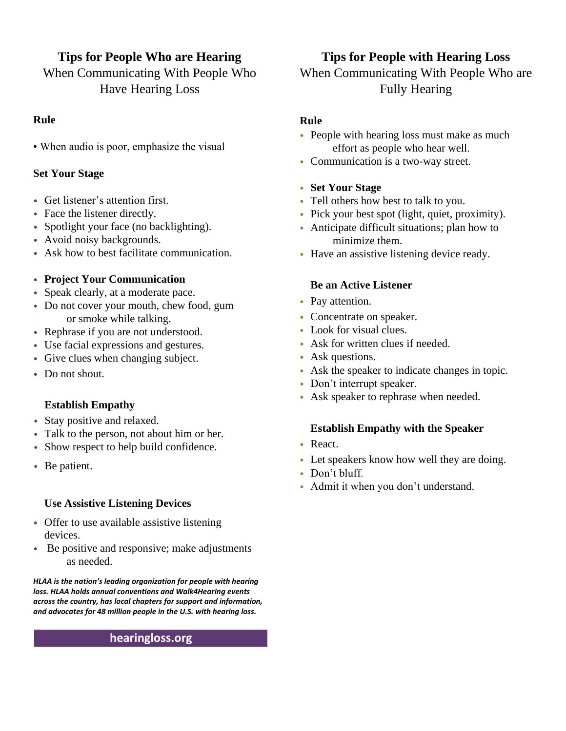# **Tips for People Who are Hearing**

When Communicating With People Who Have Hearing Loss

#### **Rule**

• When audio is poor, emphasize the visual

#### **Set Your Stage**

- Get listener's attention first.
- Face the listener directly.
- Spotlight your face (no backlighting).
- Avoid noisy backgrounds.
- Ask how to best facilitate communication.

#### • **Project Your Communication**

- Speak clearly, at a moderate pace.
- Do not cover your mouth, chew food, gum or smoke while talking.
- Rephrase if you are not understood.
- Use facial expressions and gestures.
- Give clues when changing subject.
- Do not shout.

#### **Establish Empathy**

- Stay positive and relaxed.
- Talk to the person, not about him or her.
- Show respect to help build confidence.
- Be patient.

#### **Use Assistive Listening Devices**

- Offer to use available assistive listening devices.
- Be positive and responsive; make adjustments as needed.

*HLAA is the nation's leading organization for people with hearing loss. HLAA holds annual conventions and Walk4Hearing events across the country, has local chapters for support and information, and advocates for 48 million people in the U.S. with hearing loss.*

#### **hearingloss.org**

## **Tips for People with Hearing Loss**

## When Communicating With People Who are Fully Hearing

#### **Rule**

- People with hearing loss must make as much effort as people who hear well.
- Communication is a two-way street.

#### • **Set Your Stage**

- Tell others how best to talk to you.
- Pick your best spot (light, quiet, proximity).
- Anticipate difficult situations; plan how to minimize them.
- Have an assistive listening device ready.

#### **Be an Active Listener**

- Pay attention.
- Concentrate on speaker.
- Look for visual clues.
- Ask for written clues if needed.
- Ask questions.
- Ask the speaker to indicate changes in topic.
- Don't interrupt speaker.
- Ask speaker to rephrase when needed.

#### **Establish Empathy with the Speaker**

- React.
- Let speakers know how well they are doing.
- Don't bluff.
- Admit it when you don't understand.